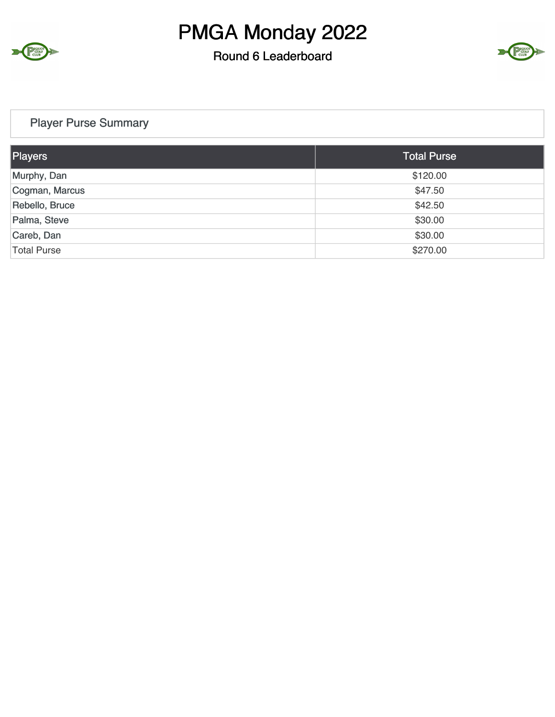

#### Round 6 Leaderboard



#### Player Purse Summary

| Players            | <b>Total Purse</b> |
|--------------------|--------------------|
| Murphy, Dan        | \$120.00           |
| Cogman, Marcus     | \$47.50            |
| Rebello, Bruce     | \$42.50            |
| Palma, Steve       | \$30.00            |
| Careb, Dan         | \$30.00            |
| <b>Total Purse</b> | \$270.00           |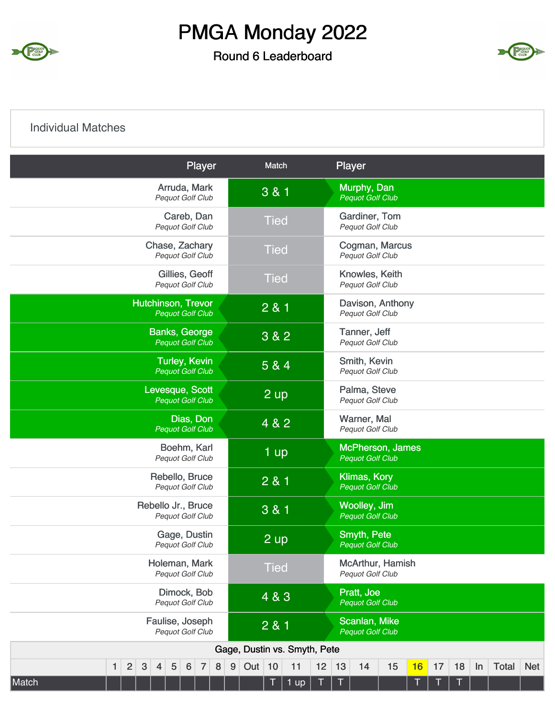

#### Round 6 Leaderboard



#### Individual Matches

| Player                                                                                                        | Match                               |        |    | Player                                         |                         |    |    |    |    |              |            |
|---------------------------------------------------------------------------------------------------------------|-------------------------------------|--------|----|------------------------------------------------|-------------------------|----|----|----|----|--------------|------------|
| Arruda, Mark<br>Pequot Golf Club                                                                              | 3 & 1                               |        |    | Murphy, Dan<br><b>Pequot Golf Club</b>         |                         |    |    |    |    |              |            |
| Careb, Dan<br><b>Pequot Golf Club</b>                                                                         | <b>Tied</b>                         |        |    | Gardiner, Tom<br>Pequot Golf Club              |                         |    |    |    |    |              |            |
| Chase, Zachary<br>Pequot Golf Club                                                                            | <b>Tied</b>                         |        |    | Pequot Golf Club                               | Cogman, Marcus          |    |    |    |    |              |            |
| Gillies, Geoff<br>Pequot Golf Club                                                                            | <b>Tied</b>                         |        |    | Knowles, Keith<br>Pequot Golf Club             |                         |    |    |    |    |              |            |
| Hutchinson, Trevor<br><b>Pequot Golf Club</b>                                                                 | 2 & 1                               |        |    | <b>Pequot Golf Club</b>                        | Davison, Anthony        |    |    |    |    |              |            |
| <b>Banks, George</b><br><b>Pequot Golf Club</b>                                                               | 3 & 2                               |        |    | Tanner, Jeff<br>Pequot Golf Club               |                         |    |    |    |    |              |            |
| <b>Turley, Kevin</b><br><b>Pequot Golf Club</b>                                                               | 5 & 4                               |        |    | Smith, Kevin<br>Pequot Golf Club               |                         |    |    |    |    |              |            |
| Levesque, Scott<br><b>Pequot Golf Club</b>                                                                    | $2 \text{ up}$                      |        |    | Palma, Steve<br>Pequot Golf Club               |                         |    |    |    |    |              |            |
| Dias, Don<br><b>Pequot Golf Club</b>                                                                          | 4 & 2                               |        |    | Warner, Mal<br>Pequot Golf Club                |                         |    |    |    |    |              |            |
| Boehm, Karl<br>Pequot Golf Club                                                                               | 1 up                                |        |    | <b>Pequot Golf Club</b>                        | <b>McPherson, James</b> |    |    |    |    |              |            |
| Rebello, Bruce<br>Pequot Golf Club                                                                            | 2 & 1                               |        |    | <b>Klimas, Kory</b><br><b>Pequot Golf Club</b> |                         |    |    |    |    |              |            |
| Rebello Jr., Bruce<br><b>Pequot Golf Club</b>                                                                 | 3 & 1                               |        |    | Woolley, Jim<br><b>Pequot Golf Club</b>        |                         |    |    |    |    |              |            |
| Gage, Dustin<br>Pequot Golf Club                                                                              | 2 up                                |        |    | <b>Smyth, Pete</b><br><b>Pequot Golf Club</b>  |                         |    |    |    |    |              |            |
| Holeman, Mark<br><b>Pequot Golf Club</b>                                                                      | <b>Tied</b>                         |        |    | Pequot Golf Club                               | McArthur, Hamish        |    |    |    |    |              |            |
| Dimock, Bob<br>Pequot Golf Club                                                                               | 4 & 3                               |        |    | Pratt, Joe<br><b>Pequot Golf Club</b>          |                         |    |    |    |    |              |            |
| Faulise, Joseph<br>Pequot Golf Club                                                                           | 2 & 1                               |        |    | Scanlan, Mike<br><b>Pequot Golf Club</b>       |                         |    |    |    |    |              |            |
|                                                                                                               | Gage, Dustin vs. Smyth, Pete        |        |    |                                                |                         |    |    |    |    |              |            |
| $\overline{2}$<br>$\mathbf{3}$<br>$\sqrt{5}$<br>$\overline{7}$<br>8<br>$6\phantom{1}6$<br>1<br>$\overline{4}$ | $\boldsymbol{9}$<br>Out<br>10<br>11 | 12     | 13 | 14                                             | 15                      | 16 | 17 | 18 | In | <b>Total</b> | <b>Net</b> |
| Match                                                                                                         | Τ<br>1 up                           | $\top$ | T  |                                                |                         | Т  |    |    |    |              |            |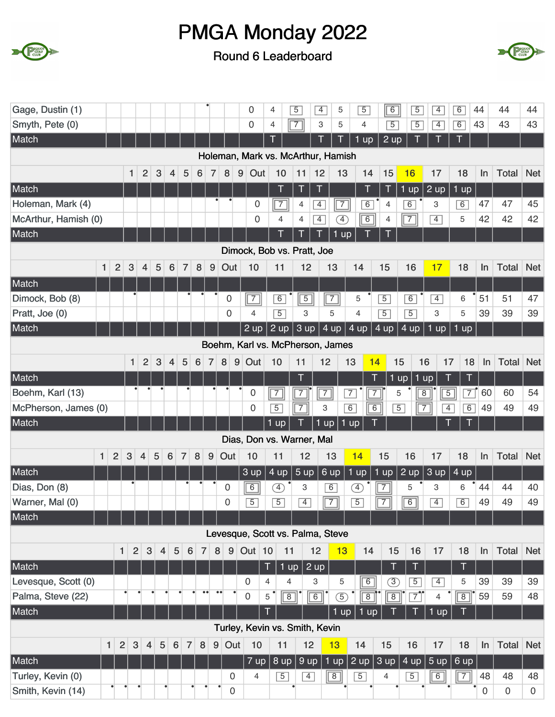



| Gage, Dustin (1)              |                |              |                         |                |                  |                |                 |                  |                  | 0                               | 4                                | $\overline{5}$                     | $\overline{4}$ | 5                                         | $\overline{5}$ | 6                   | $\overline{5}$      | $\overline{4}$                   | 6                   | 44          | 44               | 44             |
|-------------------------------|----------------|--------------|-------------------------|----------------|------------------|----------------|-----------------|------------------|------------------|---------------------------------|----------------------------------|------------------------------------|----------------|-------------------------------------------|----------------|---------------------|---------------------|----------------------------------|---------------------|-------------|------------------|----------------|
| Smyth, Pete (0)               |                |              |                         |                |                  |                |                 |                  |                  | 0                               | 4                                | $\sqrt{7}$                         | 3              | 5                                         | 4              | $\overline{5}$      | $\overline{5}$      | $\overline{4}$                   | $\boxed{6}$         | 43          | 43               | 43             |
| Match                         |                |              |                         |                |                  |                |                 |                  |                  |                                 |                                  |                                    | Τ              | Τ                                         | $1$ up         | $2 \text{ up}$      |                     |                                  |                     |             |                  |                |
|                               |                |              |                         |                |                  |                |                 |                  |                  |                                 |                                  | Holeman, Mark vs. McArthur, Hamish |                |                                           |                |                     |                     |                                  |                     |             |                  |                |
|                               |                | 1            | $\overline{2}$          | $\sqrt{3}$     | 4                | 5              | 6               | $\overline{7}$   | 8                | 9<br>Out                        | 10                               | 11                                 | 12             | 13                                        | 14             | 15                  | 16                  | 17                               | 18                  | In          | Total            | <b>Net</b>     |
| Match                         |                |              |                         |                |                  |                |                 |                  |                  |                                 | T                                | Τ                                  | T              |                                           | T              | T                   | $1$ up              | 2 up                             | $1$ up              |             |                  |                |
| Holeman, Mark (4)             |                |              |                         |                |                  |                |                 |                  |                  | 0                               |                                  | $\boxed{7}$<br>4                   | $\overline{4}$ | $\begin{array}{c c} \hline 7 \end{array}$ | 6              | 4                   | $\overline{6}$      | 3                                | 6                   | 47          | 47               | 45             |
| McArthur, Hamish (0)          |                |              |                         |                |                  |                |                 |                  |                  | 0                               | 4                                | $\overline{4}$                     | $\boxed{4}$    | ④                                         | 6              | 4                   | $\overline{7}$      | $\overline{4}$                   | 5                   | 42          | 42               | 42             |
| Match                         |                |              |                         |                |                  |                |                 |                  |                  |                                 | T                                |                                    |                | 1<br>up                                   |                |                     |                     |                                  |                     |             |                  |                |
|                               |                |              |                         |                |                  |                |                 |                  |                  |                                 |                                  | Dimock, Bob vs. Pratt, Joe         |                |                                           |                |                     |                     |                                  |                     |             |                  |                |
| $\mathbf{1}$                  | $\overline{2}$ | 3            | $\overline{\mathbf{4}}$ | 5              | 6                | $\overline{7}$ | 8               | 9                | Out              | 10                              | 11                               |                                    | 12             | 13                                        | 14             | 15                  | 16                  | 17                               | 18                  | In          | <b>Total</b>     | <b>Net</b>     |
| Match                         |                |              |                         |                |                  |                |                 |                  |                  |                                 |                                  |                                    |                |                                           |                |                     |                     |                                  |                     |             |                  |                |
| Dimock, Bob (8)               |                |              |                         |                |                  |                |                 |                  | $\boldsymbol{0}$ | $\sqrt{7}$                      | 6                                |                                    | $\overline{5}$ | $\sqrt{7}$                                | 5              | $\overline{5}$      | $\overline{6}$      | $\overline{4}$                   | 6                   | 51          | 51               | 47             |
| Pratt, Joe (0)                |                |              |                         |                |                  |                |                 |                  | $\mathbf 0$      | 4                               | $\overline{5}$                   |                                    | 3              | 5                                         | 4              | $\overline{5}$      | $\overline{5}$      | 3                                | 5                   | 39          | 39               | 39             |
| Match                         |                |              |                         |                |                  |                |                 |                  |                  | $2 \text{ up}$                  | 2 up                             |                                    | 3 up           | 4 up                                      | 4 up           | 4 up                | $4 \text{ up}$      | $1$ up                           | $1$ up              |             |                  |                |
|                               |                |              |                         |                |                  |                |                 |                  |                  |                                 |                                  | Boehm, Karl vs. McPherson, James   |                |                                           |                |                     |                     |                                  |                     |             |                  |                |
|                               |                |              |                         |                |                  |                |                 |                  |                  |                                 |                                  |                                    |                |                                           |                |                     |                     |                                  |                     |             |                  |                |
|                               |                | $\mathbf{1}$ | $\overline{2}$          | 3              | $\overline{4}$   | 5              | $6\phantom{1}6$ | 7                | 8                | $9$ Out                         | 10                               | 11                                 | 12             |                                           | 13             | 14<br>15            | 16                  | 17                               | 18                  | $\ln$       | <b>Total</b>     | <b>Net</b>     |
| Match                         |                |              |                         |                |                  |                |                 |                  |                  |                                 |                                  | T                                  |                |                                           |                |                     | $1$ up<br>$1$ up    | T                                | T                   |             |                  |                |
| Boehm, Karl (13)              |                |              |                         |                |                  |                |                 |                  |                  | $\mathbf 0$<br>$\boldsymbol{0}$ | $\overline{7}$<br>$\overline{5}$ | $\boxed{7}$                        | $\overline{7}$ |                                           | $\overline{7}$ | $\overline{7}$<br>5 | 8<br>$\overline{5}$ | $\overline{5}$<br>$\overline{7}$ | $\overline{7}$<br>6 | 60          | 60<br>49         | 54<br>49       |
| McPherson, James (0)<br>Match |                |              |                         |                |                  |                |                 |                  |                  |                                 | 1 up                             | $\boxed{7}$                        | 3<br>$1$ up    |                                           | 6<br>$1$ up    | $\overline{6}$      |                     |                                  | $\overline{4}$      | 49          |                  |                |
|                               |                |              |                         |                |                  |                |                 |                  |                  |                                 |                                  |                                    |                |                                           |                |                     |                     |                                  |                     |             |                  |                |
|                               |                |              |                         |                |                  |                |                 |                  |                  |                                 |                                  | Dias, Don vs. Warner, Mal          |                |                                           |                |                     |                     |                                  |                     |             |                  |                |
| $\mathbf{1}$                  | $\overline{2}$ | $\mathbf{3}$ | $\overline{4}$          | 5              | $6\phantom{1}6$  | $\overline{7}$ | 8               | 9                | Out              | 10                              | 11                               |                                    | 12             | 13                                        | 14             | 15                  | 16                  | 17                               | 18                  | In          | Total            | <b>Net</b>     |
| Match                         |                |              |                         |                |                  |                |                 |                  |                  | 3 up                            | 4 up                             | 5 up                               |                | 6 up                                      | $1$ up         | $1$ up              | 2 up                | 3 up                             | $4 \text{ up}$      |             |                  |                |
| Dias, Don (8)                 |                |              |                         |                |                  |                |                 |                  | 0                | 6                               | Ð                                | 3                                  |                | $\overline{6}$                            | Ð              | $\overline{7}$      | 5                   | 3                                | 6                   | 44          | 44               | 40             |
| Warner, Mal (0)               |                |              |                         |                |                  |                |                 |                  | $\mathbf 0$      | $\overline{5}$                  | $\overline{5}$                   | $\overline{4}$                     |                | $\sqrt{7}$                                | $\overline{5}$ | $\overline{7}$      | $\overline{6}$      | $\overline{4}$                   | $\overline{6}$      | 49          | 49               | 49             |
| Match                         |                |              |                         |                |                  |                |                 |                  |                  |                                 |                                  |                                    |                |                                           |                |                     |                     |                                  |                     |             |                  |                |
|                               |                |              |                         |                |                  |                |                 |                  |                  |                                 |                                  | Levesque, Scott vs. Palma, Steve   |                |                                           |                |                     |                     |                                  |                     |             |                  |                |
|                               | $\mathbf{1}$   | 2            | $\mathbf{3}$            | $\overline{4}$ | 5                | 6              | $\overline{7}$  | 8                | $\boldsymbol{9}$ | Out $10$                        |                                  | 11                                 | 12             | 13                                        | 14             | 15                  | 16                  | 17                               | 18                  | <b>In</b>   | Total            | <b>Net</b>     |
| Match                         |                |              |                         |                |                  |                |                 |                  |                  |                                 | T                                | $1$ up                             | $ 2$ up        |                                           |                | Τ                   | Т                   |                                  | Τ                   |             |                  |                |
| Levesque, Scott (0)           |                |              |                         |                |                  |                |                 |                  |                  | $\Omega$                        | $\overline{4}$                   | 4                                  | 3              | 5                                         | $\overline{6}$ | $\circled{3}$       | $\overline{5}$      | $\overline{4}$                   | 5                   | 39          | 39               | 39             |
| Palma, Steve (22)             |                | $\bullet$    | $\bullet$               | ٠              |                  |                |                 | $\bullet\bullet$ | $\bullet\bullet$ | $\mathbf 0$                     | 5                                | $\overline{8}$                     | $\boxed{6}$    | $\circled{5}$                             | $\overline{8}$ | $\overline{8}$      | $\boxed{7}$         | 4                                | $\sqrt{8}$          | 59          | 59               | 48             |
| Match                         |                |              |                         |                |                  |                |                 |                  |                  |                                 | T                                |                                    |                | 1 up                                      | 1 up           |                     | Т                   | $1 \overline{up}$                |                     |             |                  |                |
|                               |                |              |                         |                |                  |                |                 |                  |                  |                                 |                                  | Turley, Kevin vs. Smith, Kevin     |                |                                           |                |                     |                     |                                  |                     |             |                  |                |
| $\mathbf{1}$                  | $\overline{2}$ | $\sqrt{3}$   | $\overline{4}$          | $\sqrt{5}$     | $\boldsymbol{6}$ | $\overline{7}$ | $\bf 8$         |                  | 9 Out            | 10                              |                                  | 11                                 | 12             | 13                                        | 14             | 15                  | 16                  | 17                               | 18                  | In          | Total            | <b>Net</b>     |
| Match                         |                |              |                         |                |                  |                |                 |                  |                  | 7 up                            |                                  | 8 up                               | 9 up           | 1 up                                      | 2 up $\vert$   | 3 up                | 4 up                | 5 up                             | 6 up                |             |                  |                |
| Turley, Kevin (0)             |                |              |                         |                |                  |                |                 |                  | 0                | $\overline{4}$                  |                                  | $\overline{5}$                     | $\overline{4}$ | $\boxed{8}$                               | $\overline{5}$ | $\overline{4}$      | $\overline{5}$      | $\sqrt{6}$                       | $\sqrt{7}$          | 48          | 48               | 48             |
| Smith, Kevin (14)             | ٠              | $\bullet$    |                         | $\bullet$      |                  |                |                 |                  | 0                |                                 |                                  |                                    |                |                                           |                |                     |                     |                                  |                     | $\mathbf 0$ | $\boldsymbol{0}$ | $\overline{0}$ |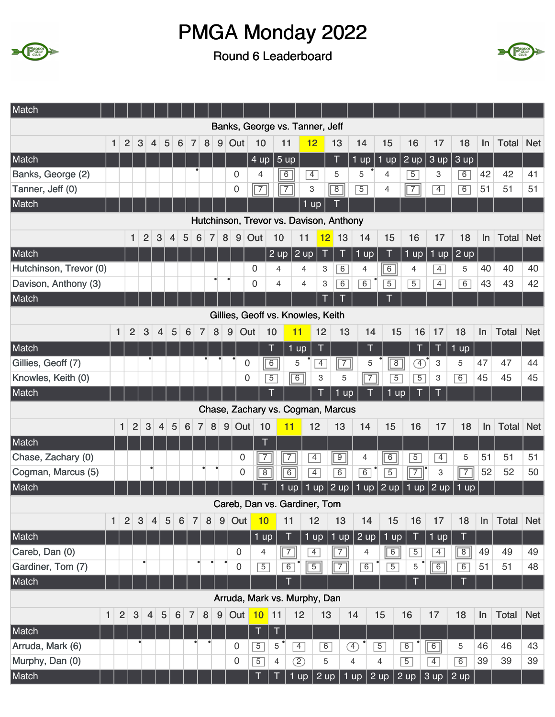



| Match                  |              |                |                |                |                |                |                 |                 |                |                |                  |                                         |                |                |                   |                |                |                |                |                |                              |                           |                |       |              |            |
|------------------------|--------------|----------------|----------------|----------------|----------------|----------------|-----------------|-----------------|----------------|----------------|------------------|-----------------------------------------|----------------|----------------|-------------------|----------------|----------------|----------------|----------------|----------------|------------------------------|---------------------------|----------------|-------|--------------|------------|
|                        |              |                |                |                |                |                |                 |                 |                |                |                  | Banks, George vs. Tanner, Jeff          |                |                |                   |                |                |                |                |                |                              |                           |                |       |              |            |
|                        | $\mathbf{1}$ | $\overline{2}$ | 3              | 4              | 5              |                | $6\phantom{1}6$ | $\overline{7}$  | 8              | $9\,$          | Out              | 10                                      |                | 11             | 12                |                | 13             | 14             | 15             |                | 16                           | 17                        | 18             | In    | Total        | <b>Net</b> |
| Match                  |              |                |                |                |                |                |                 |                 |                |                |                  | 4 up                                    |                | 5 up           |                   |                | Τ              | $1$ up         | $1$ up         |                | $2 \text{ up}$               | 3 up                      | 3 up           |       |              |            |
| Banks, George (2)      |              |                |                |                |                |                |                 |                 |                |                | $\overline{0}$   | 4                                       |                | $\overline{6}$ | $\overline{4}$    |                | 5              | 5              | $\overline{4}$ |                | $\overline{5}$               | 3                         | 6              | 42    | 42           | 41         |
| Tanner, Jeff (0)       |              |                |                |                |                |                |                 |                 |                |                | $\mathbf 0$      | $\sqrt{7}$                              |                | $\sqrt{7}$     | 3                 |                | $\sqrt{8}$     | $\overline{5}$ | 4              |                | $\sqrt{7}$                   | $\overline{4}$            | 6              | 51    | 51           | 51         |
| Match                  |              |                |                |                |                |                |                 |                 |                |                |                  |                                         |                |                | $1 \overline{up}$ |                |                |                |                |                |                              |                           |                |       |              |            |
|                        |              |                |                |                |                |                |                 |                 |                |                |                  | Hutchinson, Trevor vs. Davison, Anthony |                |                |                   |                |                |                |                |                |                              |                           |                |       |              |            |
|                        |              |                | $\mathbf{1}$   | $\overline{2}$ | $\mathbf{3}$   | $\overline{4}$ | 5               | $6\phantom{1}6$ | $\overline{7}$ | $\bf 8$        | $9\,$            | Out                                     | 10             |                | 11                | 12             | 13             | 14             | 15             |                | 16                           | 17                        | 18             | ln    | Total        | <b>Net</b> |
| Match                  |              |                |                |                |                |                |                 |                 |                |                |                  |                                         | 2 up           |                | $2 \overline{up}$ | T              | $\top$         | $1$ up         | T              |                | $1 \overline{up}$            |                           | 1 up $ 2$ up   |       |              |            |
| Hutchinson, Trevor (0) |              |                |                |                |                |                |                 |                 |                |                |                  | $\boldsymbol{0}$                        | 4              |                | 4                 | 3              | 6              | 4              | $\overline{6}$ |                | $\overline{4}$               | $\overline{4}$            | 5              | 40    | 40           | 40         |
| Davison, Anthony (3)   |              |                |                |                |                |                |                 |                 |                |                |                  | 0                                       | 4              |                | 4                 | 3              | $\overline{6}$ | 6              | $\overline{5}$ |                | $\overline{5}$               | $\overline{4}$            | $\overline{6}$ | 43    | 43           | 42         |
| Match                  |              |                |                |                |                |                |                 |                 |                |                |                  |                                         |                |                |                   | T              | Ī              |                |                |                |                              |                           |                |       |              |            |
|                        |              |                |                |                |                |                |                 |                 |                |                |                  | Gillies, Geoff vs. Knowles, Keith       |                |                |                   |                |                |                |                |                |                              |                           |                |       |              |            |
|                        | $\mathbf{1}$ |                | $\overline{2}$ | $\mathbf{3}$   | $\overline{4}$ | 5              | $6\phantom{1}6$ | $\overline{7}$  | $\bf 8$        |                | 9                | Out                                     | 10             | 11             |                   | 12             | 13             | 14             |                | 15             | 16                           | 17                        | 18             | ln    | <b>Total</b> | <b>Net</b> |
| Match                  |              |                |                |                |                |                |                 |                 |                |                |                  |                                         | I              | $1$ up         |                   | Τ              |                |                |                |                | T                            | T                         | $1$ up         |       |              |            |
| Gillies, Geoff (7)     |              |                |                |                |                |                |                 |                 |                |                |                  | $\mathbf 0$                             | 6              | 5              |                   | $\overline{4}$ | $\overline{7}$ | 5              |                | $\overline{8}$ | $\left( \overline{4}\right)$ | 3                         | 5              | 47    | 47           | 44         |
| Knowles, Keith (0)     |              |                |                |                |                |                |                 |                 |                |                |                  | $\overline{0}$                          | $\overline{5}$ | $\boxed{6}$    |                   | 3              | 5              | $\overline{7}$ |                | $\overline{5}$ | $\overline{5}$               | З                         | $\overline{6}$ | 45    | 45           | 45         |
| Match                  |              |                |                |                |                |                |                 |                 |                |                |                  |                                         |                |                |                   |                | $1$ up         |                |                | $1$ up         |                              |                           |                |       |              |            |
|                        |              |                |                |                |                |                |                 |                 |                |                |                  | Chase, Zachary vs. Cogman, Marcus       |                |                |                   |                |                |                |                |                |                              |                           |                |       |              |            |
|                        |              | $\mathbf{1}$   | $\overline{2}$ | 3              | $\overline{4}$ | 5              | 6               | $\overline{7}$  | 8              |                | $9$ Out          | 10                                      |                | 11             |                   | 12             | 13             | 14             | 15             |                | 16                           | 17                        | 18             | In    | <b>Total</b> | <b>Net</b> |
| Match                  |              |                |                |                |                |                |                 |                 |                |                |                  |                                         |                |                |                   |                |                |                |                |                |                              |                           |                |       |              |            |
| Chase, Zachary (0)     |              |                |                |                |                |                |                 |                 |                |                | 0                | $\overline{7}$                          |                | $\boxed{7}$    | $\overline{4}$    |                | $\boxed{9}$    | 4              | $\overline{6}$ |                | $\overline{5}$               | $\overline{4}$            | 5              | 51    | 51           | 51         |
| Cogman, Marcus (5)     |              |                |                | ٠              |                |                |                 |                 | $\bullet$<br>٠ |                | 0                | $\overline{8}$                          |                | $\overline{6}$ |                   | $\overline{4}$ | $\overline{6}$ | $\overline{6}$ | $\overline{5}$ |                | $\sqrt{7}$                   | $\ensuremath{\mathsf{3}}$ | $\sqrt{7}$     | 52    | 52           | 50         |
| Match                  |              |                |                |                |                |                |                 |                 |                |                |                  |                                         | 1              | <b>up</b>      | 1                 | up             | $ 2$ up        | 1<br>up        | 2 up           | П              | U <sub>D</sub>               | 2 up                      | $1$ up         |       |              |            |
|                        |              |                |                |                |                |                |                 |                 |                |                |                  | Careb, Dan vs. Gardiner, Tom            |                |                |                   |                |                |                |                |                |                              |                           |                |       |              |            |
|                        | 1            | $2\vert$       | $\mathbf{3}$   |                | 4 <sup>1</sup> | $\overline{5}$ | $6\phantom{1}6$ | $\vert 7 \vert$ | 8 <sup>1</sup> | 9 <sup>1</sup> | Out <sub>1</sub> | 10                                      |                | 11             | 12                |                | 13             | 14             | 15             |                | 16                           | 17                        | 18             | $\ln$ | Total Net    |            |
| Match                  |              |                |                |                |                |                |                 |                 |                |                |                  | $1$ up                                  |                | T              | $1$ up            |                | 1 up           | 2 up           | $1$ up         |                |                              | 1 up                      | Τ              |       |              |            |
| Careb, Dan (0)         |              |                |                |                |                |                |                 |                 |                |                | 0                | 4                                       |                | $\overline{7}$ | $\overline{4}$    |                | $\overline{7}$ | 4              | 6              |                | $\sqrt{5}$                   | $\overline{4}$            | $\boxed{8}$    | 49    | 49           | 49         |
| Gardiner, Tom (7)      |              |                |                | $\bullet$      |                |                |                 | ٠               |                |                | 0                | $\overline{5}$                          |                | 6              |                   | $\overline{5}$ | $\sqrt{7}$     | 6              | $\overline{5}$ |                | 5                            | $\boxed{6}$               | 6              | 51    | 51           | 48         |
| Match                  |              |                |                |                |                |                |                 |                 |                |                |                  |                                         |                |                |                   |                |                |                |                |                |                              |                           |                |       |              |            |
|                        |              |                |                |                |                |                |                 |                 |                |                |                  | Arruda, Mark vs. Murphy, Dan            |                |                |                   |                |                |                |                |                |                              |                           |                |       |              |            |
|                        | $\mathbf{1}$ | $\overline{2}$ | $\mathbf{3}$   | $\overline{4}$ | $\overline{5}$ | 6              | $\overline{7}$  |                 | 8              | 9              | Out <sub>1</sub> | 10                                      | 11             | 12             |                   | 13             |                | 14             | 15             | 16             |                              | 17                        | 18             | $\ln$ | <b>Total</b> | <b>Net</b> |
| Match                  |              |                |                |                |                |                |                 |                 |                |                |                  | $\mathsf T$                             | T              |                |                   |                |                |                |                |                |                              |                           |                |       |              |            |
| Arruda, Mark (6)       |              |                |                |                |                |                |                 |                 |                |                | 0                | $\overline{5}$                          | 5              |                | $\overline{4}$    | 6              |                | ④              | $\overline{5}$ | 6              |                              | $\overline{6}$            | 5              | 46    | 46           | 43         |
| Murphy, Dan (0)        |              |                |                |                |                |                |                 |                 |                |                | 0                | $\sqrt{5}$                              | 4              | $\circled{2}$  |                   | 5              |                | $\overline{4}$ | 4              | $\overline{5}$ |                              | $\overline{4}$            | 6              | 39    | 39           | 39         |
| Match                  |              |                |                |                |                |                |                 |                 |                |                |                  | T                                       | Τ              | 1 up           |                   | $2$ up         |                | $1$ up         | $\sqrt{2}$ up  | 2 up           |                              | 3 up                      | 2 up           |       |              |            |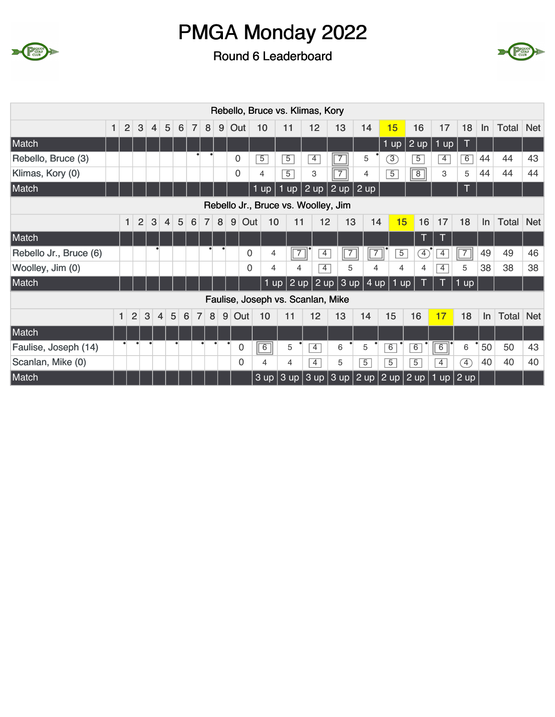



|                        |   |                |                |                |                |                |                     |                |   |          |                |             |                | Rebello, Bruce vs. Klimas, Kory   |                                                                |                   |                   |                |                |                |      |           |       |            |
|------------------------|---|----------------|----------------|----------------|----------------|----------------|---------------------|----------------|---|----------|----------------|-------------|----------------|-----------------------------------|----------------------------------------------------------------|-------------------|-------------------|----------------|----------------|----------------|------|-----------|-------|------------|
|                        | 1 | $\overline{2}$ | 3              | $\overline{4}$ | 5              | 6              | $\overline{7}$      | 8              | 9 | Out      | 10             |             | 11             | 12                                | 13                                                             | 14                | 15                |                | 16             | 17             | 18   | $\ln$     | Total | <b>Net</b> |
| Match                  |   |                |                |                |                |                |                     |                |   |          |                |             |                |                                   |                                                                |                   | $1 \overline{up}$ |                | 2 up           | $1$ up         | Τ    |           |       |            |
| Rebello, Bruce (3)     |   |                |                |                |                |                |                     |                |   | 0        | $\overline{5}$ |             | $\overline{5}$ | $\overline{4}$                    | $\overline{\phantom{a}}$                                       | 5                 | 3)                |                | $\overline{5}$ | $\overline{4}$ | 6    | 44        | 44    | 43         |
| Klimas, Kory (0)       |   |                |                |                |                |                |                     |                |   | $\Omega$ | 4              |             | $\overline{5}$ | 3                                 | $\overline{7}$                                                 | 4                 | $\overline{5}$    |                | $\overline{8}$ | 3              | 5    | 44        | 44    | 44         |
| Match                  |   |                |                |                |                |                |                     |                |   |          | $1$ up         | 1           | $\mathsf{up}$  | $2 \overline{up}$                 | $ 2$ up                                                        | $2 \overline{up}$ |                   |                |                |                | π    |           |       |            |
|                        |   |                |                |                |                |                |                     |                |   |          |                |             |                |                                   | Rebello Jr., Bruce vs. Woolley, Jim                            |                   |                   |                |                |                |      |           |       |            |
|                        |   | $\mathbf{1}$   | $\overline{2}$ | 3              | $\overline{4}$ | $\overline{5}$ | 6                   | $\overline{7}$ | 8 | 9        | Out            | 10          | 11             | 12                                | 13                                                             |                   | 14                | 15             | 16             | 17             | 18   | <b>In</b> | Total | <b>Net</b> |
| Match                  |   |                |                |                |                |                |                     |                |   |          |                |             |                |                                   |                                                                |                   |                   |                | Т              | ī              |      |           |       |            |
| Rebello Jr., Bruce (6) |   |                |                |                |                |                |                     |                |   |          | $\mathbf 0$    | 4           | $\boxed{7}$    | 4                                 | $\overline{7}$                                                 |                   | $\overline{7}$    | $\overline{5}$ | A)             | $\overline{4}$ | (3)  | 49        | 49    | 46         |
| Woolley, Jim (0)       |   |                |                |                |                |                |                     |                |   |          | $\Omega$       | 4           | 4              | $\overline{4}$                    | 5                                                              |                   | 4                 | 4              | 4              | $\overline{4}$ | 5    | 38        | 38    | 38         |
| Match                  |   |                |                |                |                |                |                     |                |   |          |                | 1<br>up     | $2$ up         |                                   | $2$ up $3$ up                                                  |                   | 4 up              | 1 up           |                |                | 1 up |           |       |            |
|                        |   |                |                |                |                |                |                     |                |   |          |                |             |                | Faulise, Joseph vs. Scanlan, Mike |                                                                |                   |                   |                |                |                |      |           |       |            |
|                        |   | 1              | $\overline{2}$ | 3              | $\overline{4}$ | 5              | 6<br>$\overline{7}$ | 8              | 9 | Out      |                | 10          | 11             | 12                                | 13                                                             | 14                | 15                |                | 16             | 17             | 18   | In        | Total | <b>Net</b> |
| Match                  |   |                |                |                |                |                |                     |                |   |          |                |             |                |                                   |                                                                |                   |                   |                |                |                |      |           |       |            |
| Faulise, Joseph (14)   |   |                |                |                |                |                |                     |                |   | 0        |                | $\boxed{6}$ | 5              | $\overline{4}$                    | 6                                                              | 5                 | $\overline{6}$    |                | 6              | $\overline{6}$ | 6    | 50        | 50    | 43         |
| Scanlan, Mike (0)      |   |                |                |                |                |                |                     |                |   | 0        |                | 4           | 4              | $\overline{4}$                    | 5                                                              | $\overline{5}$    | $\overline{5}$    |                | $\overline{5}$ | $\overline{4}$ | F)   | 40        | 40    | 40         |
| Match                  |   |                |                |                |                |                |                     |                |   |          |                |             |                |                                   | $3$ up $3$ up $3$ up $3$ up $2$ up $2$ up $2$ up $1$ up $2$ up |                   |                   |                |                |                |      |           |       |            |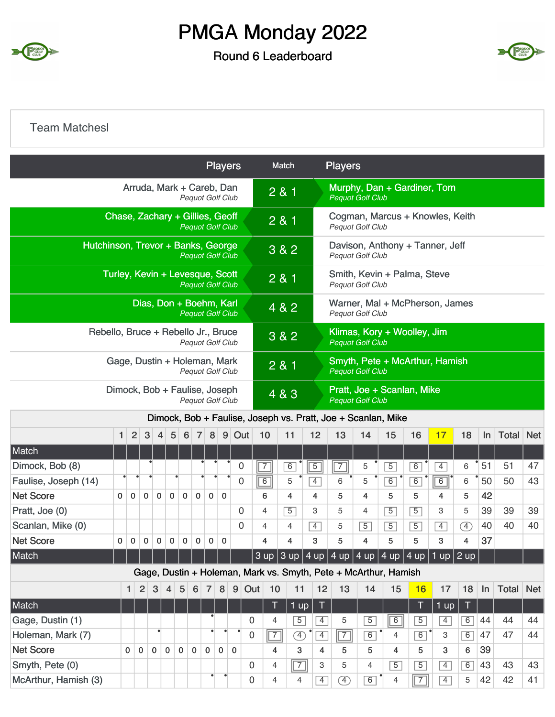

#### Round 6 Leaderboard



#### Team Matchesl

|                                                                                      |                                                                                         |             |             |                |             |                  |                |                                                            |              | <b>Players</b> |                |                          | Match          |                | <b>Players</b> |                         |                                                                 |                             |                                                                       |        |       |       |            |
|--------------------------------------------------------------------------------------|-----------------------------------------------------------------------------------------|-------------|-------------|----------------|-------------|------------------|----------------|------------------------------------------------------------|--------------|----------------|----------------|--------------------------|----------------|----------------|----------------|-------------------------|-----------------------------------------------------------------|-----------------------------|-----------------------------------------------------------------------|--------|-------|-------|------------|
|                                                                                      |                                                                                         |             |             |                |             |                  |                | Arruda, Mark + Careb, Dan<br><b>Pequot Golf Club</b>       |              |                |                | 2 & 1                    |                |                |                | <b>Pequot Golf Club</b> |                                                                 |                             | Murphy, Dan + Gardiner, Tom                                           |        |       |       |            |
|                                                                                      |                                                                                         |             |             |                |             |                  |                | Chase, Zachary + Gillies, Geoff<br><b>Pequot Golf Club</b> |              |                |                | 2 & 1                    |                |                |                | <b>Pequot Golf Club</b> |                                                                 |                             | Cogman, Marcus + Knowles, Keith                                       |        |       |       |            |
| Hutchinson, Trevor + Banks, George                                                   |                                                                                         |             |             |                |             |                  |                | <b>Pequot Golf Club</b>                                    |              |                |                |                          | 3 & 2          |                |                | Pequot Golf Club        |                                                                 |                             | Davison, Anthony + Tanner, Jeff                                       |        |       |       |            |
|                                                                                      |                                                                                         |             |             |                |             |                  |                | Turley, Kevin + Levesque, Scott<br><b>Pequot Golf Club</b> |              |                |                | 2 & 1                    |                |                |                | Pequot Golf Club        |                                                                 | Smith, Kevin + Palma, Steve |                                                                       |        |       |       |            |
|                                                                                      |                                                                                         |             |             |                |             |                  |                | Dias, Don + Boehm, Karl<br><b>Pequot Golf Club</b>         |              |                |                | 4 & 2                    |                |                |                | <b>Pequot Golf Club</b> |                                                                 |                             | Warner, Mal + McPherson, James                                        |        |       |       |            |
| Rebello, Bruce + Rebello Jr., Bruce                                                  |                                                                                         |             |             |                |             |                  |                | <b>Pequot Golf Club</b>                                    |              |                |                |                          | 3 & 2          |                |                | <b>Pequot Golf Club</b> |                                                                 | Klimas, Kory + Woolley, Jim |                                                                       |        |       |       |            |
|                                                                                      |                                                                                         |             |             |                |             |                  |                | Gage, Dustin + Holeman, Mark                               |              |                |                | 2 & 1                    |                |                |                | <b>Pequot Golf Club</b> |                                                                 |                             | Smyth, Pete + McArthur, Hamish                                        |        |       |       |            |
|                                                                                      | <b>Pequot Golf Club</b><br>Dimock, Bob + Faulise, Joseph                                |             |             |                |             |                  |                |                                                            |              |                |                |                          | 4 & 3          |                |                | <b>Pequot Golf Club</b> |                                                                 | Pratt, Joe + Scanlan, Mike  |                                                                       |        |       |       |            |
|                                                                                      | <b>Pequot Golf Club</b><br>Dimock, Bob + Faulise, Joseph vs. Pratt, Joe + Scanlan, Mike |             |             |                |             |                  |                |                                                            |              |                |                |                          |                |                |                |                         |                                                                 |                             |                                                                       |        |       |       |            |
|                                                                                      | $\mathbf{1}$                                                                            | 2           | 3           | $\overline{4}$ | 5           | $6 \overline{6}$ | $\overline{7}$ | 8                                                          |              | $9$ Out        | 10             |                          | 11             | 12             | 13             | 14                      | 15                                                              | 16                          | 17                                                                    | 18     | In    | Total | <b>Net</b> |
| Match                                                                                |                                                                                         |             |             |                |             |                  |                |                                                            |              |                |                |                          |                |                |                |                         |                                                                 |                             |                                                                       |        |       |       |            |
| Dimock, Bob (8)                                                                      |                                                                                         |             |             |                |             |                  |                |                                                            |              | $\mathbf 0$    | $\overline{7}$ |                          | 6              | 5              | $\overline{7}$ | 5                       | $\overline{5}$                                                  | $\overline{6}$              | $\overline{4}$                                                        | 6      | 51    | 51    | 47         |
| Faulise, Joseph (14)                                                                 |                                                                                         |             |             |                |             |                  |                |                                                            |              | 0              |                | 6                        | 5              | $\overline{4}$ | 6              | 5                       | 6                                                               | 6                           | $\overline{6}$                                                        | 6      | 50    | 50    | 43         |
| <b>Net Score</b>                                                                     | 0                                                                                       | $\bf{0}$    | $\bf{0}$    | $\bf{0}$       | $\mathbf 0$ | $\mathbf 0$      | $\mathbf 0$    | 0                                                          | $\mathbf 0$  |                |                | 6                        | 4              | 4              | 5              | 4                       | 5                                                               | 5                           | 4                                                                     | 5      | 42    |       |            |
| Pratt, Joe (0)                                                                       |                                                                                         |             |             |                |             |                  |                |                                                            |              | 0              |                | $\overline{4}$           | 5              | 3              | 5              | 4                       | $\overline{5}$                                                  | $\overline{5}$              | 3                                                                     | 5      | 39    | 39    | 39         |
| Scanlan, Mike (0)                                                                    |                                                                                         |             |             |                |             |                  |                |                                                            |              | $\mathbf{0}$   |                | 4                        | 4              | $\overline{4}$ | 5              | $\overline{5}$          | $\overline{5}$                                                  | $\overline{5}$              | $\overline{4}$                                                        | Œ      | 40    | 40    | 40         |
| <b>Net Score</b>                                                                     | 0                                                                                       | $\mathbf 0$ | $\mathbf 0$ | 0              | 0           | $\mathbf 0$      | 0              | 0                                                          | 0            |                |                | 4                        | 4              | 3              | 5              | 4                       | 5                                                               | 5                           | 3                                                                     | 4      | 37    |       |            |
| Match                                                                                |                                                                                         |             |             |                |             |                  |                |                                                            |              |                |                |                          |                |                |                |                         |                                                                 |                             | $3$ up $3$ up $4$ up $4$ up $4$ up $4$ up $4$ up $4$ up $1$ up $2$ up |        |       |       |            |
|                                                                                      |                                                                                         |             |             |                |             |                  |                |                                                            |              |                |                |                          |                |                |                |                         | Gage, Dustin + Holeman, Mark vs. Smyth, Pete + McArthur, Hamish |                             |                                                                       |        |       |       |            |
| 2<br>$\mathbf{3}$<br>8 <sup>1</sup><br>5<br>6<br>$\mathbf{1}$<br>4<br>$\overline{7}$ |                                                                                         |             |             |                |             |                  |                |                                                            |              | 9              | Out            | 10                       | 11             | 12             | 13             | 14                      | 15                                                              | 16                          | 17                                                                    | 18     | $\ln$ | Total | <b>Net</b> |
| Match                                                                                |                                                                                         |             |             |                |             |                  |                |                                                            |              |                |                | Τ                        | $1 \text{ up}$ | T.             |                |                         |                                                                 |                             | $1$ up $ $                                                            | $\top$ |       |       |            |
| Gage, Dustin (1)                                                                     |                                                                                         |             |             |                |             |                  |                |                                                            |              |                | 0              | 4                        | $\overline{5}$ | $\overline{4}$ | 5              | $\overline{5}$          | 6                                                               | $\overline{5}$              | $\overline{4}$                                                        | 6      | 44    | 44    | 44         |
| Holeman, Mark (7)                                                                    |                                                                                         |             |             |                |             |                  |                |                                                            |              |                | 0              | $\overline{\mathcal{L}}$ | $\bigoplus$    | $\overline{4}$ | $\sqrt{7}$     | 6                       | 4                                                               | 6                           | 3                                                                     | 6      | 47    | 47    | 44         |
| <b>Net Score</b>                                                                     |                                                                                         | $\mathbf 0$ | $\mathbf 0$ | $\overline{0}$ | $\mathbf 0$ | $\mathbf 0$      | $\mathbf 0$    | $\mathbf 0$                                                | $\mathbf{0}$ | $\Omega$       |                | 4                        | 3              | 4              | 5              | 5                       | $\overline{4}$                                                  | 5                           | 3                                                                     | 6      | 39    |       |            |
| Smyth, Pete (0)                                                                      |                                                                                         |             |             |                |             |                  |                |                                                            |              |                | 0              | $\overline{4}$           | $\boxed{7}$    | 3              | 5              | 4                       | $\overline{5}$                                                  | $\overline{5}$              | $\overline{4}$                                                        | 6      | 43    | 43    | 43         |
| McArthur, Hamish (3)                                                                 |                                                                                         |             |             |                |             |                  |                |                                                            |              |                | 0              | 4                        | 4              | $\overline{4}$ | A)             | 6                       | 4                                                               | $\sqrt{7}$                  | $\overline{4}$                                                        | 5      | 42    | 42    | 41         |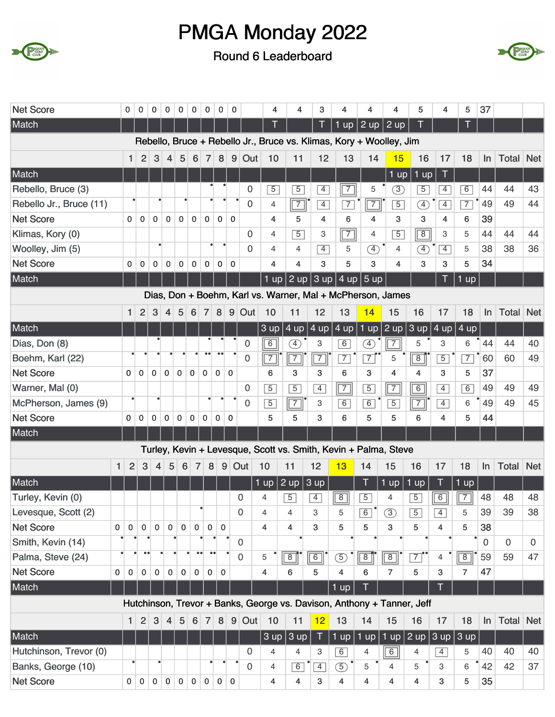



| <b>Net Score</b>        |              | 0              | 0              | 0               | $\mathbf 0$    | $\mathbf 0$     | 0              | 0              | 0              | 0            |             | 4              | 4              | 3              | 4              | 4                                                                      | 4              | 5                                                         | 4                       | 5              | 37          |                  |             |
|-------------------------|--------------|----------------|----------------|-----------------|----------------|-----------------|----------------|----------------|----------------|--------------|-------------|----------------|----------------|----------------|----------------|------------------------------------------------------------------------|----------------|-----------------------------------------------------------|-------------------------|----------------|-------------|------------------|-------------|
| Match                   |              |                |                |                 |                |                 |                |                |                |              |             | T              |                |                | $1$ up         | $2 \text{ up}$                                                         | $2 \text{ up}$ |                                                           |                         |                |             |                  |             |
|                         |              |                |                |                 |                |                 |                |                |                |              |             |                |                |                |                | Rebello, Bruce + Rebello Jr., Bruce vs. Klimas, Kory + Woolley, Jim    |                |                                                           |                         |                |             |                  |             |
|                         |              | $\mathbf{1}$   | $\overline{2}$ | 3               | $\overline{4}$ | 5               | 6              | $\overline{7}$ | 8              |              | $9$ Out     | 10             | 11             | 12             | 13             | 14                                                                     | 15             | 16                                                        | 17                      | 18             | $\ln$       | Total            | <b>Net</b>  |
| Match                   |              |                |                |                 |                |                 |                |                |                |              |             |                |                |                |                |                                                                        | $1$ up         | $1$ up                                                    | Τ                       |                |             |                  |             |
| Rebello, Bruce (3)      |              |                |                |                 |                |                 |                |                |                |              | 0           | $\overline{5}$ | $\overline{5}$ | $\overline{4}$ | $\overline{7}$ | 5                                                                      | $\circled{3}$  | $\overline{5}$                                            | 4                       | $\overline{6}$ | 44          | 44               | 43          |
| Rebello Jr., Bruce (11) |              |                |                |                 |                |                 |                |                |                |              | 0           | $\overline{4}$ | $\boxed{7}$    | $\overline{4}$ | $\overline{7}$ | $\sqrt{7}$                                                             | $\overline{5}$ | ④                                                         | $\overline{4}$          | $\overline{7}$ | 49          | 49               | 44          |
| <b>Net Score</b>        |              | $\mathbf{0}$   | $\Omega$       | $\mathbf 0$     | $\mathbf 0$    | $\mathbf 0$     | $\mathbf{0}$   | $\mathbf{0}$   | $\mathbf{0}$   | $\mathbf 0$  |             | 4              | 5              | 4              | 6              | 4                                                                      | 3              | 3                                                         | 4                       | 6              | 39          |                  |             |
| Klimas, Kory (0)        |              |                |                |                 |                |                 |                |                |                |              | $\Omega$    | $\overline{4}$ | $\overline{5}$ | 3              | $\boxed{7}$    | 4                                                                      | $\overline{5}$ | $\overline{8}$                                            | 3                       | 5              | 44          | 44               | 44          |
| Woolley, Jim (5)        |              |                |                |                 |                |                 |                |                |                |              | 0           | $\overline{4}$ | 4              | $\overline{4}$ | 5              | $\circled{4}$                                                          | $\overline{4}$ | <sup>4</sup>                                              | $\overline{4}$          | 5              | 38          | 38               | 36          |
| <b>Net Score</b>        |              | 0              | $\mathbf 0$    | 0               | $\pmb{0}$      | $\mathbf 0$     | 0              | $\bf{0}$       | $\mathbf 0$    | $\mathbf 0$  |             | 4              | $\overline{4}$ | 3              | 5              | 3                                                                      | 4              | 3                                                         | 3                       | 5              | 34          |                  |             |
| Match                   |              |                |                |                 |                |                 |                |                |                |              |             | $1$ up $ $     |                |                |                | 2 up 3 up 4 up 5 up                                                    |                |                                                           |                         | J.<br>up       |             |                  |             |
|                         |              |                |                |                 |                |                 |                |                |                |              |             |                |                |                |                | Dias, Don + Boehm, Karl vs. Warner, Mal + McPherson, James             |                |                                                           |                         |                |             |                  |             |
|                         |              | 1              | $\overline{2}$ | $\mathbf{3}$    | 4              | 5               | 6              | $\overline{7}$ | 8              |              | $9$ Out     | 10             | 11             | 12             | 13             | 14                                                                     | 15             | 16                                                        | 17                      | 18             | $\ln$       | <b>Total Net</b> |             |
| Match                   |              |                |                |                 |                |                 |                |                |                |              |             | 3 up           |                | 4 up $ 4$ up   | 4 up           |                                                                        |                | 1 up $\sqrt{2}$ up $\sqrt{3}$ up $\sqrt{4}$ up $\sqrt{2}$ |                         | 4 up           |             |                  |             |
| Dias, Don (8)           |              |                |                |                 |                |                 |                |                |                |              | 0           | $\boxed{6}$    | $\circledA$    | 3              | $\overline{6}$ | Ð                                                                      | $\overline{7}$ | 5                                                         | 3                       | 6              | 44          | 44               | 40          |
| Boehm, Karl (22)        |              |                |                |                 |                |                 |                |                |                |              | $\mathbf 0$ | $\boxed{7}$    | $\boxed{7}$    | $\overline{7}$ | $\overline{7}$ | $\overline{7}$                                                         | 5              | $\overline{8}$                                            | $\overline{5}$          | $\overline{7}$ | 60          | 60               | 49          |
| <b>Net Score</b>        |              | $\mathbf{0}$   | $\mathbf 0$    | $\mathbf 0$     | $\mathbf 0$    | $\mathbf 0$     | $\mathbf 0$    | $\mathbf 0$    | $\mathbf 0$    | $\mathbf{0}$ |             | 6              | 3              | 3              | 6              | 3                                                                      | 4              | 4                                                         | 3                       | 5              | 37          |                  |             |
| Warner, Mal (0)         |              |                |                |                 |                |                 |                |                |                |              | 0           | $\overline{5}$ | $\overline{5}$ | $\overline{4}$ | $\boxed{7}$    | $\overline{5}$                                                         | $\sqrt{7}$     | $\overline{6}$                                            | $\overline{4}$          | $\overline{6}$ | 49          | 49               | 49          |
| McPherson, James (9)    |              |                |                | $\bullet$       |                |                 |                |                |                |              | $\Omega$    | $\overline{5}$ | $\boxed{7}$    | 3              | $\overline{6}$ | 6                                                                      | $\overline{5}$ | $\sqrt{7}$                                                | $\overline{4}$          | 6              | 49          | 49               | 45          |
| <b>Net Score</b>        |              | $\mathbf 0$    | $\mathbf 0$    | $\mathbf 0$     | $\pmb{0}$      | $\pmb{0}$       | 0              | 0              | $\mathbf 0$    | $\mathbf 0$  |             | 5              | 5              | 3              | 6              | 5                                                                      | 5              | 6                                                         | 4                       | 5              | 44          |                  |             |
| Match                   |              |                |                |                 |                |                 |                |                |                |              |             |                |                |                |                |                                                                        |                |                                                           |                         |                |             |                  |             |
|                         |              |                |                |                 |                |                 |                |                |                |              |             |                |                |                |                | Turley, Kevin + Levesque, Scott vs. Smith, Kevin + Palma, Steve        |                |                                                           |                         |                |             |                  |             |
|                         | $\mathbf{1}$ | $\overline{2}$ | 3              | 4               | 5              | $6\phantom{1}6$ | $\overline{7}$ | 8              | 9              |              | Out         | 10             | 11             | 12             | 13             | 14                                                                     | 15             | 16                                                        | 17                      | 18             | $\ln$       | Total            | <b>Net</b>  |
| Match                   |              |                |                |                 |                |                 |                |                |                |              |             | $1$ up         | $2 \text{ up}$ | 3 up           |                |                                                                        | $1$ up         | 1 up                                                      | Ţ                       | $1$ up         |             |                  |             |
| Turley, Kevin (0)       |              |                |                |                 |                |                 |                |                |                |              | 0           | 4              | $\overline{5}$ | $\overline{4}$ | $\boxed{8}$    | $\overline{5}$                                                         | $\overline{4}$ | $\overline{5}$                                            | $\overline{6}$          | $\overline{7}$ | 48          | 48               | 48          |
| Levesque, Scott (2)     |              |                |                |                 |                |                 |                | $\bullet$      |                |              | $\mathbf 0$ | 4              | 4              | З              | 5              | $\boxed{6}$                                                            | $\circled{3}$  | $\boxed{5}$                                               | 4                       | 5              | 39          | 39               | 38          |
| <b>Net Score</b>        | $\mathbf{0}$ | $\mathbf 0$    | $\mathbf 0$    | $\mathbf 0$     | $\mathbf 0$    | $\mathbf 0$     | $\mathbf 0$    | $\pmb{0}$      | $\mathbf 0$    |              |             | $\overline{4}$ | 4              | 3              | 5              | 5                                                                      | 3              | 5                                                         | $\overline{\mathbf{4}}$ | 5              | 38          |                  |             |
| Smith, Kevin (14)       |              |                |                |                 |                |                 |                |                |                |              | 0           |                |                |                |                |                                                                        |                |                                                           |                         |                | $\mathbf 0$ | $\Omega$         | $\mathbf 0$ |
| Palma, Steve (24)       |              |                |                |                 |                |                 |                |                |                |              | 0           | 5              | $\boxed{8}$    | $\overline{6}$ | $\circledS$    | $\boxed{8}$                                                            | $\sqrt{8}$     | $\overline{7}$                                            | 4                       | $\sqrt{8}$     | 59          | 59               | 47          |
| <b>Net Score</b>        | $\mathbf 0$  | $\mathbf 0$    | 0              | $\mathbf 0$     | $\mathbf 0$    | $\mathbf 0$     | 0              | $\mathbf 0$    | $\mathbf 0$    |              |             | 4              | 6              | 5              | 4              | 6                                                                      | 7              | 5                                                         | 3                       | 7              | 47          |                  |             |
| Match                   |              |                |                |                 |                |                 |                |                |                |              |             |                |                |                | $1$ up         |                                                                        |                |                                                           | Т                       |                |             |                  |             |
|                         |              |                |                |                 |                |                 |                |                |                |              |             |                |                |                |                | Hutchinson, Trevor + Banks, George vs. Davison, Anthony + Tanner, Jeff |                |                                                           |                         |                |             |                  |             |
|                         |              | 1              |                | $2 \mid 3 \mid$ | $\overline{4}$ | 5               | 6              | $\boxed{7}$    |                |              | 8 9 Out     | 10             | 11             | 12             | 13             | 14                                                                     | 15             | 16                                                        | 17                      | 18             | $\ln$       | <b>Total Net</b> |             |
| Match                   |              |                |                |                 |                |                 |                |                |                |              |             |                | $3$ up $3$ up  | $\top$         | $1$ up         | $ 1$ up $ 1$ up $ 2$ up $ 3$ up                                        |                |                                                           |                         | 3 up           |             |                  |             |
| Hutchinson, Trevor (0)  |              |                |                |                 |                |                 |                |                |                |              | 0           | 4              | 4              | 3              | 6              | 4                                                                      | 6              | 4                                                         | $\overline{4}$          | 5              | 40          | 40               | 40          |
| Banks, George (10)      |              |                |                |                 |                |                 |                |                |                |              | 0           | $\overline{4}$ | 6              | $\boxed{4}$    | $\circled{5}$  | 5                                                                      | 4              | 5                                                         | 3                       | 6              | 42          | 42               | 37          |
| <b>Net Score</b>        |              |                | $0 \mid 0$     | $\mathbf{0}$    |                | $0 \mid 0$      | $\overline{0}$ | $\mathbf 0$    | $\overline{0}$ | $\mathbf 0$  |             | 4              | 4              | 3              | 4              | 4                                                                      | 4              | 4                                                         | 3                       | 5              | 35          |                  |             |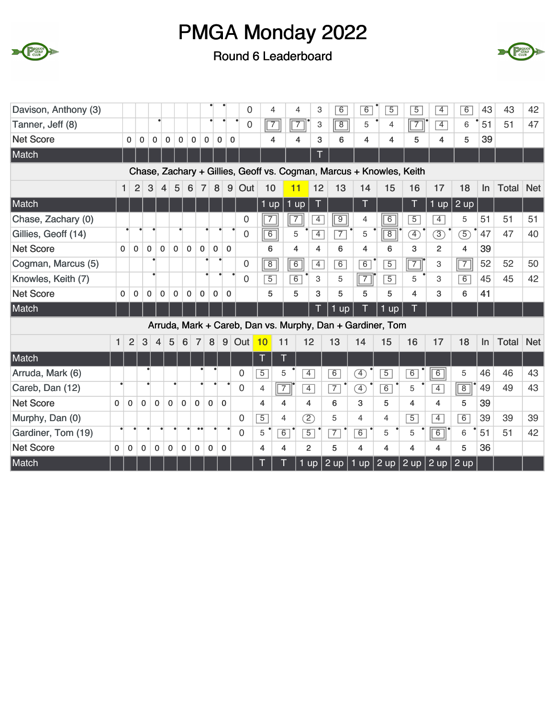



| Davison, Anthony (3) |              |                |                |                         |                            |                 |                |                |              |             | 0              |                | 4              | $\overline{4}$ | 3              | 6              | 6              | $\overline{5}$                                                      | $\overline{5}$ | $\overline{4}$ | $\overline{6}$ | 43 | 43           | 42         |
|----------------------|--------------|----------------|----------------|-------------------------|----------------------------|-----------------|----------------|----------------|--------------|-------------|----------------|----------------|----------------|----------------|----------------|----------------|----------------|---------------------------------------------------------------------|----------------|----------------|----------------|----|--------------|------------|
| Tanner, Jeff (8)     |              |                |                | $\bullet$               |                            |                 |                |                |              |             | $\mathbf 0$    |                | $\sqrt{7}$     | $\boxed{7}$    | 3              | $\boxed{8}$    | 5              | $\overline{4}$                                                      | $\sqrt{7}$     | $\overline{4}$ | 6              | 51 | 51           | 47         |
| <b>Net Score</b>     |              | $\mathbf{0}$   | $\mathbf 0$    | $\mathbf 0$             | 0                          | 0               | 0              | 0              | 0            | $\mathbf 0$ |                |                | 4              | 4              | 3              | 6              | $\overline{4}$ | 4                                                                   | 5              | 4              | 5              | 39 |              |            |
| Match                |              |                |                |                         |                            |                 |                |                |              |             |                |                |                |                |                |                |                |                                                                     |                |                |                |    |              |            |
|                      |              |                |                |                         |                            |                 |                |                |              |             |                |                |                |                |                |                |                | Chase, Zachary + Gillies, Geoff vs. Cogman, Marcus + Knowles, Keith |                |                |                |    |              |            |
|                      |              | $\mathbf{1}$   | $\overline{2}$ | 3                       | $\overline{4}$             | 5               | 6              | $\overline{7}$ | 8            | $9\,$       | Out            | 10             |                | 11             | 12             | 13             | 14             | 15                                                                  | 16             | 17             | 18             | ln | <b>Total</b> | <b>Net</b> |
| Match                |              |                |                |                         |                            |                 |                |                |              |             |                | $1$ up         |                | $1$ up         | T              |                |                |                                                                     | T              | $1$ up         | 2 up           |    |              |            |
| Chase, Zachary (0)   |              |                |                |                         |                            |                 |                |                |              |             | 0              | $\overline{7}$ |                | $\overline{7}$ | $\overline{4}$ | $\boxed{9}$    | 4              | $\overline{6}$                                                      | $\overline{5}$ | $\overline{4}$ | 5              | 51 | 51           | 51         |
| Gillies, Geoff (14)  |              |                |                |                         |                            |                 |                |                |              |             | 0              | $\overline{6}$ |                | 5              | $\overline{4}$ | $\overline{7}$ | 5              | $\overline{8}$                                                      | F)             | $\circled{3}$  | $\mathcal{F}$  | 47 | 47           | 40         |
| <b>Net Score</b>     | $\mathbf{0}$ | $\mathbf 0$    |                | 0                       | $\mathbf 0$<br>$\mathbf 0$ |                 | $\mathbf 0$    | $\mathbf 0$    | $\mathbf 0$  | $\mathbf 0$ |                | 6              |                | 4              | 4              | 6              | 4              | 6                                                                   | 3              | $\overline{2}$ | 4              | 39 |              |            |
| Cogman, Marcus (5)   |              |                |                |                         |                            |                 |                |                |              |             | 0              | $\boxed{8}$    |                | $\overline{6}$ | $\overline{4}$ | $\overline{6}$ | 6              | $\overline{5}$                                                      | $\boxed{7}$    | 3              | $\boxed{7}$    | 52 | 52           | 50         |
| Knowles, Keith (7)   |              |                |                |                         |                            |                 |                |                |              |             | 0              | $\overline{5}$ |                | $\overline{6}$ | 3              | 5              | $\boxed{7}$    | $\overline{5}$                                                      | 5              | 3              | $\overline{6}$ | 45 | 45           | 42         |
| <b>Net Score</b>     | $\mathbf{0}$ | 0              |                | 0                       | 0<br>0                     |                 | 0              | $\mathbf 0$    | $\mathbf{0}$ | $\mathbf 0$ |                | 5              |                | 5              | 3              | 5              | 5              | 5                                                                   | 4              | 3              | 6              | 41 |              |            |
| Match                |              |                |                |                         |                            |                 |                |                |              |             |                |                |                |                | T              | 1<br>up        |                | 1 up                                                                | Τ              |                |                |    |              |            |
|                      |              |                |                |                         |                            |                 |                |                |              |             |                |                |                |                |                |                |                | Arruda, Mark + Careb, Dan vs. Murphy, Dan + Gardiner, Tom           |                |                |                |    |              |            |
|                      | $\mathbf{1}$ | $\overline{2}$ | 3              | $\overline{\mathbf{4}}$ | 5                          | $6\phantom{1}6$ | $\overline{7}$ | 8              |              | 9           | Out            | 10             | 11             |                | 12             | 13             | 14             | 15                                                                  | 16             | 17             | 18             | ln | <b>Total</b> | <b>Net</b> |
| Match                |              |                |                |                         |                            |                 |                |                |              |             |                | T              | T              |                |                |                |                |                                                                     |                |                |                |    |              |            |
| Arruda, Mark (6)     |              |                |                |                         |                            |                 |                |                |              |             | $\mathbf 0$    | $\overline{5}$ | 5              |                | $\overline{4}$ | 6              | Ð              | $\overline{5}$                                                      | $\overline{6}$ | $\overline{6}$ | 5              | 46 | 46           | 43         |
| Careb, Dan (12)      |              |                |                |                         |                            |                 |                |                |              |             | $\overline{0}$ | $\overline{4}$ | $\sqrt{7}$     |                | $\overline{4}$ | $\overline{7}$ | $\mathcal{F}$  | 6                                                                   | 5              | $\overline{4}$ | $\sqrt{8}$     | 49 | 49           | 43         |
| <b>Net Score</b>     | $\Omega$     | $\Omega$       | $\Omega$       | $\Omega$                | $\Omega$                   | $\Omega$        | $\Omega$       | $\Omega$       |              | $\Omega$    |                | 4              | 4              |                | 4              | 6              | 3              | 5                                                                   | 4              | 4              | 5              | 39 |              |            |
| Murphy, Dan (0)      |              |                |                |                         |                            |                 |                |                |              |             | 0              | $\overline{5}$ | $\overline{4}$ |                | $\overline{2}$ | 5              | $\overline{4}$ | $\overline{4}$                                                      | $\overline{5}$ | $\overline{4}$ | 6              | 39 | 39           | 39         |
| Gardiner, Tom (19)   |              |                |                |                         |                            |                 | $\bullet$      |                |              |             | $\overline{0}$ | 5              | 6              |                | $\overline{5}$ | $\overline{7}$ | 6              | 5                                                                   | 5              | $\boxed{6}$    | 6              | 51 | 51           | 42         |
| <b>Net Score</b>     | $\mathbf 0$  | 0              | $\mathbf 0$    | 0                       | $\mathbf 0$                | 0               | $\mathbf 0$    | $\mathbf 0$    |              | 0           |                | $\overline{4}$ | 4              |                | $\overline{2}$ | 5              | 4              | 4                                                                   | 4              | 4              | 5              | 36 |              |            |
| Match                |              |                |                |                         |                            |                 |                |                |              |             |                | T              |                |                | 1 up $ $       | $2$ up         | $1$ up         | $2 \text{ up}$                                                      | 2 up           | $2$ up $ $     | 2 up           |    |              |            |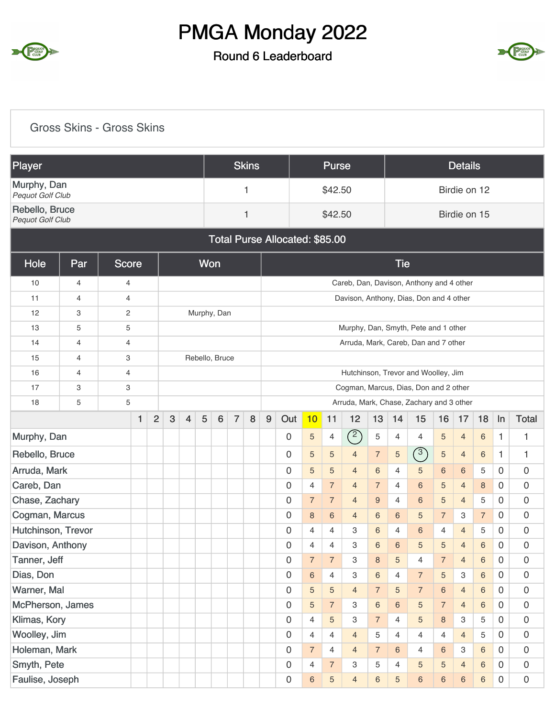

#### Round 6 Leaderboard



#### Gross Skins - Gross Skins

| Player                                    |                |                |              |                |              |                |                |                 |                                                                              | <b>Skins</b> |   |                                       |                | <b>Purse</b>   |                                                                                                  |                                                                                                                         |                                          |                                                                                                                  |                 | <b>Details</b>  |                |                |                     |  |  |  |  |
|-------------------------------------------|----------------|----------------|--------------|----------------|--------------|----------------|----------------|-----------------|------------------------------------------------------------------------------|--------------|---|---------------------------------------|----------------|----------------|--------------------------------------------------------------------------------------------------|-------------------------------------------------------------------------------------------------------------------------|------------------------------------------|------------------------------------------------------------------------------------------------------------------|-----------------|-----------------|----------------|----------------|---------------------|--|--|--|--|
| Murphy, Dan<br>Pequot Golf Club           |                |                |              |                |              |                |                |                 |                                                                              | 1            |   |                                       |                | \$42.50        |                                                                                                  |                                                                                                                         |                                          |                                                                                                                  |                 | Birdie on 12    |                |                |                     |  |  |  |  |
| Rebello, Bruce<br><b>Pequot Golf Club</b> |                |                |              |                |              |                |                |                 |                                                                              | 1            |   |                                       |                | \$42.50        |                                                                                                  |                                                                                                                         |                                          |                                                                                                                  |                 | Birdie on 15    |                |                |                     |  |  |  |  |
|                                           |                |                |              |                |              |                |                |                 |                                                                              |              |   | <b>Total Purse Allocated: \$85.00</b> |                |                |                                                                                                  |                                                                                                                         |                                          |                                                                                                                  |                 |                 |                |                |                     |  |  |  |  |
| Hole                                      | Par            | <b>Score</b>   |              |                |              |                | <b>Won</b>     |                 |                                                                              |              |   |                                       |                |                |                                                                                                  |                                                                                                                         | <b>Tie</b>                               |                                                                                                                  |                 |                 |                |                |                     |  |  |  |  |
| 10                                        | $\overline{4}$ | 4              |              |                |              |                |                |                 |                                                                              |              |   |                                       |                |                | Careb, Dan, Davison, Anthony and 4 other                                                         |                                                                                                                         |                                          |                                                                                                                  |                 |                 |                |                |                     |  |  |  |  |
| 11                                        | $\overline{4}$ | 4              |              |                |              |                |                |                 |                                                                              |              |   |                                       |                |                | Davison, Anthony, Dias, Don and 4 other                                                          |                                                                                                                         |                                          |                                                                                                                  |                 |                 |                |                |                     |  |  |  |  |
| 12                                        | 3              | 2              |              |                |              |                | Murphy, Dan    |                 |                                                                              |              |   |                                       |                |                |                                                                                                  |                                                                                                                         |                                          |                                                                                                                  |                 |                 |                |                |                     |  |  |  |  |
| 13                                        | 5              | 5              |              |                |              |                |                |                 |                                                                              |              |   |                                       |                |                | Murphy, Dan, Smyth, Pete and 1 other                                                             |                                                                                                                         |                                          |                                                                                                                  |                 |                 |                |                |                     |  |  |  |  |
| 14                                        | $\overline{4}$ | $\overline{4}$ |              |                |              |                |                |                 |                                                                              |              |   |                                       |                |                | Arruda, Mark, Careb, Dan and 7 other                                                             |                                                                                                                         |                                          |                                                                                                                  |                 |                 |                |                |                     |  |  |  |  |
| 15                                        | $\overline{4}$ | 3              |              |                |              |                | Rebello, Bruce |                 |                                                                              |              |   |                                       |                |                |                                                                                                  |                                                                                                                         |                                          |                                                                                                                  |                 |                 |                |                |                     |  |  |  |  |
| 16                                        | 4              | 4              |              |                |              |                |                |                 | Hutchinson, Trevor and Woolley, Jim<br>Cogman, Marcus, Dias, Don and 2 other |              |   |                                       |                |                |                                                                                                  |                                                                                                                         |                                          |                                                                                                                  |                 |                 |                |                |                     |  |  |  |  |
| 17                                        | 3              | 3              |              |                |              |                |                |                 |                                                                              |              |   |                                       |                |                |                                                                                                  |                                                                                                                         |                                          |                                                                                                                  |                 |                 |                |                |                     |  |  |  |  |
| 18                                        | 5              | 5              |              |                |              |                |                |                 |                                                                              |              |   |                                       |                |                |                                                                                                  |                                                                                                                         | Arruda, Mark, Chase, Zachary and 3 other |                                                                                                                  |                 |                 |                |                |                     |  |  |  |  |
|                                           |                |                | $\mathbf{1}$ | $\overline{2}$ | $\mathbf{3}$ | $\overline{4}$ | 5              | $6\phantom{1}6$ | $\overline{7}$                                                               | 8            | 9 | Out                                   | 10             | 11             | 12                                                                                               | 13                                                                                                                      | 14                                       | 16<br>18<br><b>Total</b><br>15<br>In<br>17<br>$\sqrt{5}$<br>4<br>$\overline{4}$<br>6<br>1<br>1<br>$\overline{4}$ |                 |                 |                |                |                     |  |  |  |  |
| Murphy, Dan                               |                |                |              |                |              |                |                |                 |                                                                              |              |   | 0                                     | 5              | 4              | (2)                                                                                              | 5                                                                                                                       |                                          |                                                                                                                  |                 |                 |                |                |                     |  |  |  |  |
| Rebello, Bruce                            |                |                |              |                |              |                |                |                 |                                                                              |              |   | 0                                     | 5              | 5              | $\overline{4}$                                                                                   | $\overline{7}$                                                                                                          | 5                                        | $\binom{3}{ }$<br>$\sqrt{5}$<br>6<br>1<br>1<br>$\overline{4}$                                                    |                 |                 |                |                |                     |  |  |  |  |
| Arruda, Mark                              |                |                |              |                |              |                |                |                 |                                                                              |              |   | 0                                     | 5              | 5              | $\overline{4}$                                                                                   | 6                                                                                                                       | 4                                        | 5                                                                                                                | $6\phantom{1}6$ | $6\phantom{1}6$ | 5              | $\mathbf 0$    | 0                   |  |  |  |  |
| Careb, Dan                                |                |                |              |                |              |                |                |                 |                                                                              |              |   | 0                                     | 4              | $\overline{7}$ | $\overline{4}$                                                                                   | $\overline{7}$                                                                                                          | $\overline{4}$                           | $6\phantom{1}6$                                                                                                  | 5               | $\overline{4}$  | 8              | $\Omega$       | 0                   |  |  |  |  |
| Chase, Zachary                            |                |                |              |                |              |                |                |                 |                                                                              |              |   | 0                                     | $\overline{7}$ | $\overline{7}$ | $\overline{4}$                                                                                   | 9                                                                                                                       | $\overline{4}$                           | $6\,$                                                                                                            | 5               | $\overline{4}$  | 5              | $\mathbf 0$    | $\mathbf 0$         |  |  |  |  |
| Cogman, Marcus                            |                |                |              |                |              |                |                |                 |                                                                              |              |   | 0                                     | 8              | 6              | 4                                                                                                | 6                                                                                                                       | 6                                        | 5                                                                                                                | $\overline{7}$  | 3               | $\overline{7}$ | $\mathbf 0$    | 0                   |  |  |  |  |
| Hutchinson, Trevor                        |                |                |              |                |              |                |                |                 |                                                                              |              |   | 0                                     | 4              | 4              | 3                                                                                                | 6                                                                                                                       | 4                                        | 6                                                                                                                | $\overline{4}$  | $\overline{4}$  | 5              | $\mathbf 0$    | 0                   |  |  |  |  |
| Davison, Anthony                          |                |                |              |                |              |                |                |                 |                                                                              |              |   | 0                                     | 4              | 4              | 3                                                                                                | 6                                                                                                                       | 6                                        | 5                                                                                                                | 5               | $\overline{4}$  | $\,$ 6 $\,$    | $\Omega$       | 0                   |  |  |  |  |
| Tanner, Jeff                              |                |                |              |                |              |                |                |                 |                                                                              |              |   | 0                                     | $\overline{7}$ | $\overline{7}$ | 3                                                                                                | 8                                                                                                                       | 5                                        | 4                                                                                                                | $\overline{7}$  | $\overline{4}$  | 6              | $\mathbf 0$    | $\boldsymbol{0}$    |  |  |  |  |
| Dias, Don                                 |                |                |              |                |              |                |                |                 |                                                                              |              |   | 0                                     | 6              | 4              | 3                                                                                                | 6                                                                                                                       | 4                                        | $\overline{7}$                                                                                                   | $\sqrt{5}$      | 3               | $\,6\,$        | $\mathbf 0$    | $\overline{0}$      |  |  |  |  |
| Warner, Mal                               |                |                |              |                |              |                |                |                 |                                                                              |              |   | 0                                     | 5              | 5              | $\overline{4}$                                                                                   | $\overline{7}$<br>$\overline{7}$<br>$\,6\,$<br>$\,$ 6 $\,$<br>$\mathsf{O}\xspace$<br>5<br>$\overline{4}$<br>$\mathbf 0$ |                                          |                                                                                                                  |                 |                 |                |                |                     |  |  |  |  |
| McPherson, James                          |                |                |              |                |              |                |                |                 |                                                                              |              |   | 0                                     | 5              | $\overline{7}$ | 3<br>6<br>$\overline{5}$<br>$\overline{7}$<br>$\,6\,$<br>$\mathbf 0$<br>0<br>6<br>$\overline{4}$ |                                                                                                                         |                                          |                                                                                                                  |                 |                 |                |                |                     |  |  |  |  |
| Klimas, Kory                              |                |                |              |                |              |                |                |                 |                                                                              |              |   | 0                                     | $\overline{4}$ | 5              | 3                                                                                                | $\overline{7}$                                                                                                          | $\overline{4}$                           | 5                                                                                                                | $\bf 8$         | 3               | 5              | $\overline{0}$ | $\mathsf{O}\xspace$ |  |  |  |  |
| Woolley, Jim                              |                |                |              |                |              |                |                |                 |                                                                              |              |   | 0                                     | 4              | 4              | $\overline{4}$                                                                                   | 5                                                                                                                       | 4                                        | 4                                                                                                                | $\overline{4}$  | $\overline{4}$  | 5              | $\mathbf 0$    | $\overline{0}$      |  |  |  |  |
| Holeman, Mark                             |                |                |              |                |              |                |                |                 |                                                                              |              |   | 0                                     | $\overline{7}$ | $\overline{4}$ | $\overline{4}$                                                                                   | $\overline{7}$                                                                                                          | 6                                        | 4                                                                                                                | 6               | 3               | 6              | $\overline{0}$ | $\boldsymbol{0}$    |  |  |  |  |
| Smyth, Pete                               |                |                |              |                |              |                |                |                 |                                                                              |              |   | 0                                     | 4              | $\overline{7}$ | 3                                                                                                | 5                                                                                                                       | 4                                        | 5                                                                                                                | 5               | $\overline{4}$  | $\,$ 6 $\,$    | $\Omega$       | $\mathbf 0$         |  |  |  |  |
| Faulise, Joseph                           |                |                |              |                |              |                |                |                 |                                                                              |              |   | 0                                     | 6              | 5              | $\overline{4}$                                                                                   | 6                                                                                                                       | 5                                        | $\,6\,$                                                                                                          | $\,6\,$         | $\,6$           | $6\phantom{a}$ | $\overline{0}$ | $\mathbf 0$         |  |  |  |  |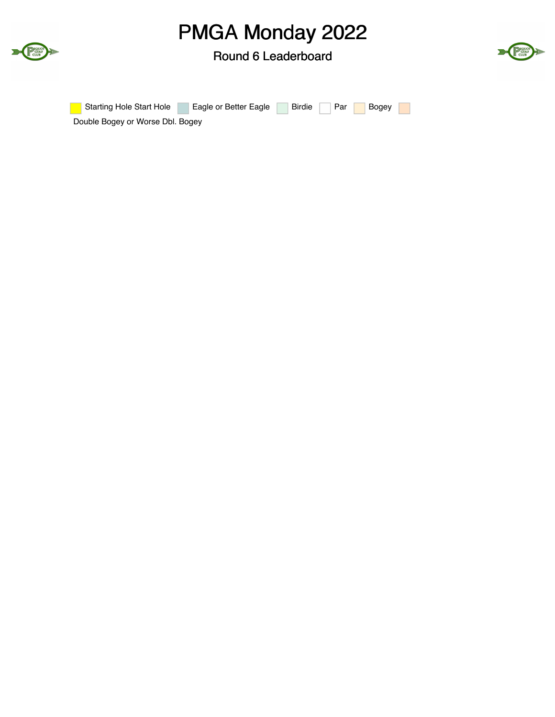



| <b>Starting Hole Start Hole</b>  | Eagle or Better Eagle |  |  | Birdie Par Bogey |  |
|----------------------------------|-----------------------|--|--|------------------|--|
| Double Bogey or Worse Dbl. Bogey |                       |  |  |                  |  |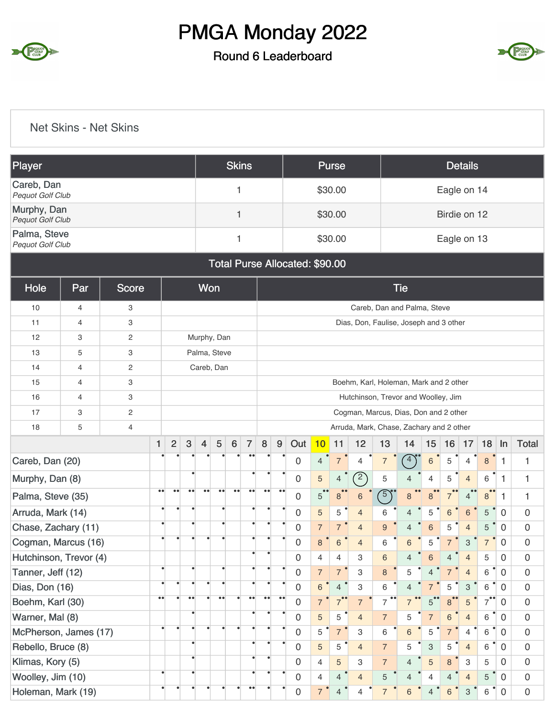#### Round 6 Leaderboard



#### Net Skins - Net Skins

| Player                                  |                |                |                   |                  |                  |                  |                    | <b>Skins</b>     |                                                                                                                                                                                                                                                      |                  |                  |                                |                | <b>Purse</b>   |                  |                |                                          |                           |                 | <b>Details</b> |                |                |                     |
|-----------------------------------------|----------------|----------------|-------------------|------------------|------------------|------------------|--------------------|------------------|------------------------------------------------------------------------------------------------------------------------------------------------------------------------------------------------------------------------------------------------------|------------------|------------------|--------------------------------|----------------|----------------|------------------|----------------|------------------------------------------|---------------------------|-----------------|----------------|----------------|----------------|---------------------|
| Careb, Dan<br>Pequot Golf Club          |                |                |                   |                  |                  |                  |                    | 1                |                                                                                                                                                                                                                                                      |                  |                  |                                |                | \$30.00        |                  |                |                                          |                           |                 | Eagle on 14    |                |                |                     |
| Murphy, Dan<br>Pequot Golf Club         |                |                |                   |                  |                  |                  |                    | 1                |                                                                                                                                                                                                                                                      |                  |                  |                                |                | \$30.00        |                  |                |                                          |                           |                 | Birdie on 12   |                |                |                     |
| Palma, Steve<br><b>Pequot Golf Club</b> |                |                |                   |                  |                  |                  |                    | 1                |                                                                                                                                                                                                                                                      |                  |                  |                                |                | \$30.00        |                  |                |                                          |                           |                 | Eagle on 13    |                |                |                     |
|                                         |                |                |                   |                  |                  |                  |                    |                  |                                                                                                                                                                                                                                                      |                  |                  | Total Purse Allocated: \$90.00 |                |                |                  |                |                                          |                           |                 |                |                |                |                     |
| Hole                                    | Par            | <b>Score</b>   |                   |                  |                  | Won              |                    |                  |                                                                                                                                                                                                                                                      |                  |                  |                                |                |                |                  |                | <b>Tie</b>                               |                           |                 |                |                |                |                     |
| 10                                      | 4              | 3              |                   |                  |                  |                  |                    |                  |                                                                                                                                                                                                                                                      |                  |                  |                                |                |                |                  |                | Careb, Dan and Palma, Steve              |                           |                 |                |                |                |                     |
| 11                                      | $\overline{4}$ | 3              |                   |                  |                  |                  |                    |                  |                                                                                                                                                                                                                                                      |                  |                  |                                |                |                |                  |                | Dias, Don, Faulise, Joseph and 3 other   |                           |                 |                |                |                |                     |
| 12                                      | 3              | $\mathbf{2}$   |                   |                  |                  | Murphy, Dan      |                    |                  |                                                                                                                                                                                                                                                      |                  |                  |                                |                |                |                  |                |                                          |                           |                 |                |                |                |                     |
| 13                                      | 5              | 3              |                   |                  |                  | Palma, Steve     |                    |                  |                                                                                                                                                                                                                                                      |                  |                  |                                |                |                |                  |                |                                          |                           |                 |                |                |                |                     |
| 14                                      | $\overline{4}$ | $\sqrt{2}$     |                   |                  |                  | Careb, Dan       |                    |                  |                                                                                                                                                                                                                                                      |                  |                  |                                |                |                |                  |                |                                          |                           |                 |                |                |                |                     |
| 15                                      | $\overline{4}$ | 3              |                   |                  |                  |                  |                    |                  |                                                                                                                                                                                                                                                      |                  |                  |                                |                |                |                  |                | Boehm, Karl, Holeman, Mark and 2 other   |                           |                 |                |                |                |                     |
| 16                                      | $\overline{4}$ | 3              |                   |                  |                  |                  |                    |                  |                                                                                                                                                                                                                                                      |                  |                  |                                |                |                |                  |                | Hutchinson, Trevor and Woolley, Jim      |                           |                 |                |                |                |                     |
| 17                                      | 3              | $\mathbf{2}$   |                   |                  |                  |                  |                    |                  |                                                                                                                                                                                                                                                      |                  |                  |                                |                |                |                  |                | Cogman, Marcus, Dias, Don and 2 other    |                           |                 |                |                |                |                     |
| 18                                      | 5              | $\overline{4}$ |                   |                  |                  |                  |                    |                  |                                                                                                                                                                                                                                                      |                  |                  |                                |                |                |                  |                | Arruda, Mark, Chase, Zachary and 2 other |                           |                 |                |                |                |                     |
|                                         |                |                | $\mathbf{1}$      | $\overline{c}$   | $\mathbf{3}$     | $\overline{4}$   | 5                  | $\bf 6$          | $\overline{7}$                                                                                                                                                                                                                                       | $\bf 8$          | 9                | Out                            | 10             | 11             | 12               | 13             | 14                                       | 15                        | 16              | 17             | 18             | In             | <b>Total</b>        |
| Careb, Dan (20)                         |                |                |                   |                  |                  |                  |                    |                  |                                                                                                                                                                                                                                                      |                  |                  | $\mathbf 0$                    | $\overline{4}$ | $\overline{7}$ | $\overline{4}$   | $\overline{7}$ | $4^{\circ}$                              | $6\phantom{1}6$           | 5               | 4              | $\mathbf{8}$   | $\mathbf{1}$   | 1                   |
| Murphy, Dan (8)                         |                |                |                   |                  |                  |                  |                    |                  |                                                                                                                                                                                                                                                      |                  |                  | 0                              | 5              | 4              | $\left(2\right)$ | 5              | 4                                        | $\overline{4}$            | 5               | $\overline{4}$ | 6              | 1              | 1                   |
| Palma, Steve (35)                       |                |                | $\bullet\bullet$  | $\bullet\bullet$ | $\bullet\bullet$ | $\bullet\bullet$ | $\bullet\,\bullet$ | $\bullet\bullet$ | $\bullet$                                                                                                                                                                                                                                            | $\bullet\bullet$ | $\bullet\bullet$ | 0                              | 5              | 8              | $\,$ 6 $\,$      | $\sqrt{5}$     | 8                                        | 8                         | $\overline{7}$  | $\overline{4}$ | 8              | $\mathbf{1}$   | 1                   |
| Arruda, Mark (14)                       |                |                |                   |                  |                  |                  | $\bullet$          |                  |                                                                                                                                                                                                                                                      |                  |                  | $\mathbf 0$                    | 5              | 5              | $\overline{4}$   | 6              | $\overline{4}$                           | 5                         | $6\phantom{1}6$ | $\,6\,$        | 5              | $\overline{0}$ | $\mathbf 0$         |
| Chase, Zachary (11)                     |                |                | ٠                 |                  |                  |                  | $\bullet$          |                  |                                                                                                                                                                                                                                                      |                  |                  | 0                              | $\overline{7}$ | $\overline{7}$ | $\overline{4}$   | 9              | $\overline{4}$                           | $6\phantom{1}6$           | 5               | $\overline{4}$ | 5              | $\mathbf 0$    | 0                   |
| Cogman, Marcus (16)                     |                |                |                   |                  |                  |                  |                    |                  |                                                                                                                                                                                                                                                      |                  |                  | 0                              | 8              | 6              | $\overline{4}$   | 6              | 6                                        | 5                         |                 | 3              | $\overline{7}$ | 0              | 0                   |
| Hutchinson, Trevor (4)                  |                |                |                   |                  |                  |                  |                    |                  | $\bullet$                                                                                                                                                                                                                                            |                  |                  | 0                              | 4              | 4              | З                | 6              | $\overline{4}$                           | 6                         | 4               | 4              | 5              | 0              | $\mathbf 0$         |
| Tanner, Jeff (12)                       |                |                | $\bullet$         |                  |                  |                  |                    |                  |                                                                                                                                                                                                                                                      |                  |                  | $\boldsymbol{0}$               | $\overline{7}$ | $\overline{7}$ | 3                | 8              | 5                                        | $\overline{4}$            | $\overline{7}$  | $\overline{4}$ | 6              | $\overline{0}$ | $\mathbf 0$         |
| Dias, Don (16)                          |                |                |                   |                  |                  |                  | $\bullet$          |                  |                                                                                                                                                                                                                                                      | $\bullet$        |                  | $\mathbf 0$                    | $\,6\,$        | $\overline{4}$ | 3                | 6              | $\overline{4}$                           | $\overline{7}$            | 5               | $\mathbf{3}$   | 6              | $\mathbf 0$    | $\mathbf 0$         |
| Boehm, Karl (30)                        |                |                | $\bullet \bullet$ |                  | $\bullet\bullet$ |                  | $\bullet\bullet$   |                  | $\bullet\bullet$<br>$\bullet\bullet$<br>$\bullet\bullet$<br>$7^{\bullet\bullet}$<br>$7^{\bullet}$<br>$\mathsf{O}\xspace$<br>$\overline{7}$<br>$\overline{7}$<br>$\overline{7}$<br>8 <sup>°</sup><br>$\sqrt{5}$<br>$\mathbf 0$<br>$\overline{7}$<br>5 |                  |                  |                                |                |                |                  |                |                                          |                           | $\mathsf 0$     |                |                |                |                     |
| Warner, Mal (8)                         |                |                |                   |                  |                  |                  |                    |                  | 0<br>5<br>$\overline{7}$<br>$\mathbf 0$<br>$\sqrt{7}$<br>5<br>$6\,$<br>6<br>$\mathbf 0$<br>5<br>$\overline{4}$<br>$\overline{4}$                                                                                                                     |                  |                  |                                |                |                |                  |                |                                          |                           |                 |                |                |                |                     |
| McPherson, James (17)                   |                |                |                   |                  |                  |                  | $\bullet$          |                  |                                                                                                                                                                                                                                                      |                  |                  | $\boldsymbol{0}$               | $\overline{5}$ | $\overline{7}$ | 3                | $\,6\,$        | $\,6\,$                                  | 5                         | $\overline{7}$  | $\overline{4}$ | 6              | $\mathbf 0$    | $\mathsf 0$         |
| Rebello, Bruce (8)                      |                |                |                   |                  |                  |                  |                    |                  | ٠                                                                                                                                                                                                                                                    | $\bullet$        |                  | $\mathbf 0$                    | 5              | 5              | $\overline{4}$   | $\overline{7}$ | 5                                        | $\ensuremath{\mathsf{3}}$ | 5               | $\overline{4}$ | 6              | $\mathbf 0$    | $\mathbf 0$         |
| Klimas, Kory (5)                        |                |                |                   |                  |                  |                  |                    |                  | $\bullet$                                                                                                                                                                                                                                            | $\bullet$        |                  | $\mathbf 0$                    | $\overline{4}$ | 5              | 3                | $\overline{7}$ | 4                                        | $\sqrt{5}$                | $\bf 8$         | 3              | 5              | $\mathbf{0}$   | $\mathsf{O}\xspace$ |
| Woolley, Jim (10)                       |                |                | $\bullet$         |                  |                  |                  |                    |                  |                                                                                                                                                                                                                                                      | $\bullet$        |                  | $\mathbf 0$                    | $\overline{4}$ | $\overline{4}$ | $\overline{4}$   | 5              | $\overline{4}$                           | $\overline{4}$            | $\overline{4}$  | $\overline{4}$ | 5              | $\mathbf 0$    | $\mathsf 0$         |
| Holeman, Mark (19)                      |                |                |                   |                  |                  |                  |                    |                  | $\bullet$                                                                                                                                                                                                                                            |                  |                  | $\mathsf{O}\xspace$            | $\overline{7}$ | $\overline{4}$ | $\overline{4}$   | $\overline{7}$ | 6                                        | $\overline{4}$            | $\,6\,$         | $\,$ 3 $\,$    | 6              | $\mathbf 0$    | $\mathsf{O}\xspace$ |

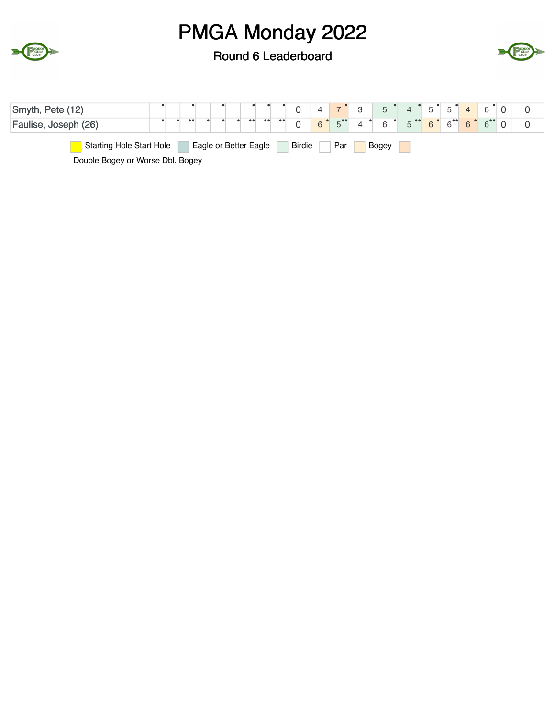